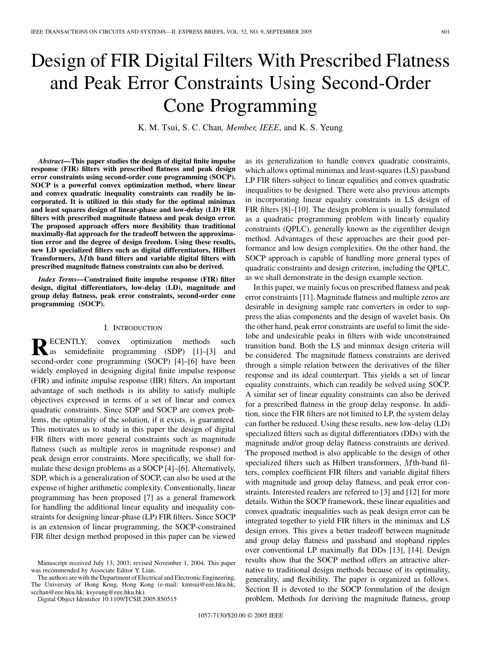# Design of FIR Digital Filters With Prescribed Flatness and Peak Error Constraints Using Second-Order Cone Programming

K. M. Tsui, S. C. Chan*, Member, IEEE*, and K. S. Yeung

*Abstract—***This paper studies the design of digital finite impulse response (FIR) filters with prescribed flatness and peak design error constraints using second-order cone programming (SOCP). SOCP is a powerful convex optimization method, where linear and convex quadratic inequality constraints can readily be incorporated. It is utilized in this study for the optimal minimax and least squares design of linear-phase and low-delay (LD) FIR filters with prescribed magnitude flatness and peak design error. The proposed approach offers more flexibility than traditional maximally-flat approach for the tradeoff between the approximation error and the degree of design freedom. Using these results, new LD specialized filters such as digital differentiators, Hilbert Transformers, th band filters and variable digital filters with prescribed magnitude flatness constraints can also be derived.**

*Index Terms—***Constrained finite impulse response (FIR) filter design, digital differentiators, low-delay (LD), magnitude and group delay flatness, peak error constraints, second-order cone programming (SOCP).**

#### I. INTRODUCTION

**R**ECENTLY, convex optimization methods such as semidefinite programming (SDP) [\[1\]](#page-4-0)–[[3\]](#page-4-0) and second-order cone programming (SOCP) [\[4](#page-4-0)]–[[6\]](#page-4-0) have been widely employed in designing digital finite impulse response (FIR) and infinite impulse response (IIR) filters. An important advantage of such methods is its ability to satisfy multiple objectives expressed in terms of a set of linear and convex quadratic constraints. Since SDP and SOCP are convex problems, the optimality of the solution, if it exists, is guaranteed. This motivates us to study in this paper the design of digital FIR filters with more general constraints such as magnitude flatness (such as multiple zeros in magnitude response) and peak design error constraints. More specifically, we shall formulate these design problems as a SOCP [[4](#page-4-0)]–[\[6](#page-4-0)]. Alternatively, SDP, which is a generalization of SOCP, can also be used at the expense of higher arithmetic complexity. Conventionally, linear programming has been proposed [[7\]](#page-4-0) as a general framework for handling the additional linear equality and inequality constraints for designing linear-phase (LP) FIR filters. Since SOCP is an extension of linear programming, the SOCP-constrained FIR filter design method proposed in this paper can be viewed

The authors are with the Department of Electrical and Electronic Engineering, The University of Hong Kong, Hong Kong (e-mail: kmtsui@eee.hku.hk; scchan@eee.hku.hk; ksyeung@eee.hku.hk).

Digital Object Identifier 10.1109/TCSII.2005.850515

as its generalization to handle convex quadratic constraints, which allows optimal minimax and least-squares (LS) passband LP FIR filters subject to linear equalities and convex quadratic inequalities to be designed. There were also previous attempts in incorporating linear equality constraints in LS design of FIR filters [\[8](#page-4-0)]–[\[10](#page-4-0)]. The design problem is usually formulated as a quadratic programming problem with linearly equality constraints (QPLC), generally known as the eigenfilter design method. Advantages of these approaches are their good performance and low design complexities. On the other hand, the SOCP approach is capable of handling more general types of quadratic constraints and design criterion, including the QPLC, as we shall demonstrate in the design example section.

In this paper, we mainly focus on prescribed flatness and peak error constraints [[11\]](#page-4-0). Magnitude flatness and multiple zeros are desirable in designing sample rate converters in order to suppress the alias components and the design of wavelet basis. On the other hand, peak error constraints are useful to limit the sidelobe and undesirable peaks in filters with wide unconstrained transition band. Both the LS and minmax design criteria will be considered. The magnitude flatness constraints are derived through a simple relation between the derivatives of the filter response and its ideal counterpart. This yields a set of linear equality constraints, which can readily be solved using SOCP. A similar set of linear equality constraints can also be derived for a prescribed flatness in the group delay response. In addition, since the FIR filters are not limited to LP, the system delay can further be reduced. Using these results, new low-delay (LD) specialized filters such as digital differentiators (DDs) with the magnitude and/or group delay flatness constraints are derived. The proposed method is also applicable to the design of other specialized filters such as Hilbert transformers,  $M$ th-band filters, complex coefficient FIR filters and variable digital filters with magnitude and group delay flatness, and peak error constraints. Interested readers are referred to [[3\]](#page-4-0) and [[12\]](#page-4-0) for more details. Within the SOCP framework, these linear equalities and convex quadratic inequalities such as peak design error can be integrated together to yield FIR filters in the minimax and LS design errors. This gives a better tradeoff between magnitude and group delay flatness and passband and stopband ripples over conventional LP maximally flat DDs [\[13](#page-4-0)], [\[14](#page-4-0)]. Design results show that the SOCP method offers an attractive alternative to traditional design methods because of its optimality, generality, and flexibility. The paper is organized as follows. Section II is devoted to the SOCP formulation of the design problem. Methods for deriving the magnitude flatness, group

Manuscript received July 13, 2003; revised November 1, 2004. This paper was recommended by Associate Editor Y. Lian.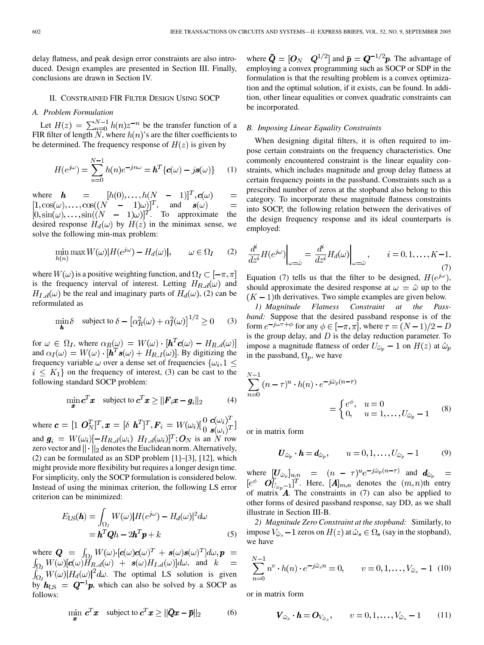delay flatness, and peak design error constraints are also introduced. Design examples are presented in Section III. Finally, conclusions are drawn in Section IV.

## II. CONSTRAINED FIR FILTER DESIGN USING SOCP

# *A. Problem Formulation*

Let  $H(z) = \sum_{n=0}^{N-1} h(n)z^{-n}$  be the transfer function of a FIR filter of length  $N$ , where  $h(n)$ 's are the filter coefficients to be determined. The frequency response of  $H(z)$  is given by

$$
H(e^{j\omega}) = \sum_{n=0}^{N-1} h(n)e^{-jn\omega} = \boldsymbol{h}^T \{ \boldsymbol{c}(\omega) - j\boldsymbol{s}(\omega) \} \qquad (1)
$$

where  $=$  $=$ , and . To approximate the desired response  $H_d(\omega)$  by  $H(z)$  in the minimax sense, we solve the following min-max problem:

$$
\min_{h(n)} \max W(\omega) |H(e^{j\omega}) - H_d(\omega)|, \qquad \omega \in \Omega_I \qquad (2)
$$

where  $W(\omega)$  is a positive weighting function, and  $\Omega_I \subset [-\pi, \pi]$ is the frequency interval of interest. Letting  $H_{R,d}(\omega)$  and  $H_{I,d}(\omega)$  be the real and imaginary parts of  $H_d(\omega)$ , (2) can be reformulated as

$$
\min_{\boldsymbol{h}} \delta \quad \text{subject to } \delta - \left[ \alpha_R^2(\omega) + \alpha_I^2(\omega) \right]^{1/2} \ge 0 \qquad (3)
$$

for  $\omega \in \Omega_I$ , where  $\alpha_R(\omega) = W(\omega) \cdot [\boldsymbol{h}^T \boldsymbol{c}(\omega) - H_{R_d}(\omega)]$ and  $\alpha_I(\omega) = W(\omega) \cdot [\mathbf{h}^T \mathbf{s}(\omega) + H_{R_I}(\omega)]$ . By digitizing the frequency variable  $\omega$  over a dense set of frequencies  $\{\omega_i, 1\leq$  $i \leq K_1$  on the frequency of interest, (3) can be cast to the following standard SOCP problem:

$$
\min_{\boldsymbol{x}} c^T \boldsymbol{x} \quad \text{subject to } \boldsymbol{c}^T \boldsymbol{x} \geq ||\boldsymbol{F}_i \boldsymbol{x} - \boldsymbol{g}_i||_2 \tag{4}
$$

where  $\mathbf{c} = [1 \ \mathbf{O}_N^T]^T$ ,  $\mathbf{x} = [\delta \ \mathbf{h}^T]^T$ ,  $F_i = W(\omega_i) [\begin{matrix} 0 & \mathbf{c}(\omega_i)^T \\ 0 & \mathbf{s}(\omega_i)^T \end{matrix}]$ and  $g_i = W(\omega_i)[-H_{R_d}(\omega_i) H_{I_d}(\omega_i)]^T; O_N$  is an N row zero vector and  $\|\cdot\|_2$  denotes the Euclidean norm. Alternatively, (2) can be formulated as an SDP problem [\[1](#page-4-0)]–[[3\]](#page-4-0), [[12\]](#page-4-0), which might provide more flexibility but requires a longer design time. For simplicity, only the SOCP formulation is considered below. Instead of using the minimax criterion, the following LS error criterion can be minimized:

$$
E_{\text{LS}}(\boldsymbol{h}) = \int_{\Omega_I} W(\omega) |H(e^{j\omega}) - H_d(\omega)|^2 d\omega
$$
  
=  $\boldsymbol{h}^T \boldsymbol{Q} h - 2\boldsymbol{h}^T \boldsymbol{p} + k$  (5)

where  $Q = \int_{\Omega_I} W(\omega) \cdot [c(\omega) c(\omega)^T + s(\omega) s(\omega)^T] d\omega$ ,  $p =$  $\int_{\Omega_I} W(\omega) [\mathbf{c}(\omega) H_{R,d}(\omega) + \mathbf{s}(\omega) H_{I,d}(\omega)] d\omega$ , and  $k =$ . The optimal LS solution is given by  $h_{\text{LS}} = Q^{-1}p$ , which can also be solved by a SOCP as follows:

$$
\min_{\boldsymbol{x}} \boldsymbol{c}^T \boldsymbol{x} \quad \text{subject to } \boldsymbol{c}^T \boldsymbol{x} \ge ||\boldsymbol{Q}\boldsymbol{x} - \boldsymbol{\bar{p}}||_2 \tag{6}
$$

where  $\bar{\mathbf{Q}} = [\mathbf{O}_N \quad \mathbf{Q}^{1/2}]$  and  $\bar{\mathbf{p}} = \mathbf{Q}^{-1/2} \mathbf{p}$ . The advantage of employing a convex programming such as SOCP or SDP in the formulation is that the resulting problem is a convex optimization and the optimal solution, if it exists, can be found. In addition, other linear equalities or convex quadratic constraints can be incorporated.

# *B. Imposing Linear Equality Constraints*

When designing digital filters, it is often required to impose certain constraints on the frequency characteristics. One commonly encountered constraint is the linear equality constraints, which includes magnitude and group delay flatness at certain frequency points in the passband. Constraints such as a prescribed number of zeros at the stopband also belong to this category. To incorporate these magnitude flatness constraints into SOCP, the following relation between the derivatives of the design frequency response and its ideal counterparts is employed:

$$
\left. \frac{d^i}{dz^i} H(e^{j\omega}) \right|_{\omega = \hat{\omega}} = \left. \frac{d^i}{dz^i} H_d(\omega) \right|_{\omega = \hat{\omega}}, \qquad i = 0, 1, \dots, K-1.
$$
\n(7)

Equation (7) tells us that the filter to be designed,  $H(e^{j\omega})$ , should approximate the desired response at  $\omega = \hat{\omega}$  up to the  $(K-1)$ th derivatives. Two simple examples are given below.

*1) Magnitude Flatness Constraint at the Passband:* Suppose that the desired passband response is of the form  $e^{-j\omega\tau+\phi}$  for any  $\phi \in [-\pi, \pi]$ , where  $\tau = (N-1)/2 - D$ is the group delay, and  $D$  is the delay reduction parameter. To impose a magnitude flatness of order  $U_{\hat{\omega}_n} - 1$  on  $H(z)$  at  $\hat{\omega}_p$ in the passband,  $\Omega_p$ , we have

$$
\sum_{n=0}^{N-1} (n-\tau)^u \cdot h(n) \cdot e^{-j\hat{\omega}_p(n-\tau)} = \begin{cases} e^{\phi}, & u = 0\\ 0, & u = 1, \dots, U_{\hat{\omega}_p} - 1 \end{cases}
$$
 (8)

or in matrix form

$$
\boldsymbol{U}_{\hat{\omega}_p} \cdot \boldsymbol{h} = \boldsymbol{d}_{\hat{\omega}_p}, \qquad u = 0, 1, \dots, U_{\hat{\omega}_p} - 1 \tag{9}
$$

where  $[U_{\hat{\omega}_n}]_{u,n} = (n - \tau)^u e^{-j\hat{\omega}_p(n-\tau)}$  and . Here,  $[A]_{m,n}$  denotes the  $(m,n)$ th entry of matrix  $\mathbf{A}$ . The constraints in (7) can also be applied to other forms of desired passband response, say DD, as we shall illustrate in Section III-B.

*2) Magnitude Zero Constraint at the stopband:* Similarly, to impose  $V_{\hat{\omega}_s}$  – 1 zeros on  $H(z)$  at  $\hat{\omega}_s \in \Omega_s$  (say in the stopband), we have

$$
\sum_{n=0}^{N-1} n^v \cdot h(n) \cdot e^{-j\hat{\omega}_s n} = 0, \qquad v = 0, 1, \dots, V_{\hat{\omega}_s} - 1 \tag{10}
$$

or in matrix form

$$
\boldsymbol{V}_{\hat{\omega}_s} \cdot \boldsymbol{h} = \boldsymbol{O}_{V_{\hat{\omega}_s}}, \qquad v = 0, 1, \dots, V_{\hat{\omega}_s} - 1 \qquad (11)
$$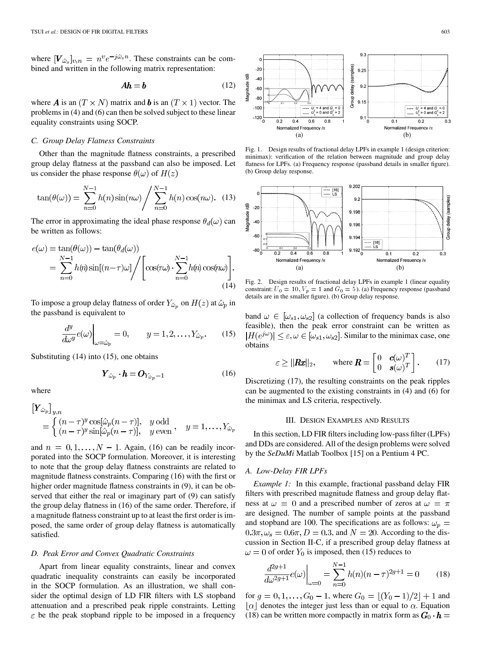where  $[V_{\hat{\omega}_s}]_{v,n} = n^v e^{-j\hat{\omega}_s n}$ . These constraints can be combined and written in the following matrix representation:

$$
Ah = b \tag{12}
$$

where **A** is an  $(T \times N)$  matrix and **b** is an  $(T \times 1)$  vector. The problems in (4) and (6) can then be solved subject to these linear equality constraints using SOCP.

### *C. Group Delay Flatness Constraints*

Other than the magnitude flatness constraints, a prescribed group delay flatness at the passband can also be imposed. Let us consider the phase response  $\theta(\omega)$  of  $H(z)$ 

$$
\tan(\theta(\omega)) = \sum_{n=0}^{N-1} h(n) \sin(n\omega) / \sum_{n=0}^{N-1} h(n) \cos(n\omega). \quad (13)
$$

The error in approximating the ideal phase response  $\theta_d(\omega)$  can be written as follows:

$$
e(\omega) = \tan(\theta(\omega)) - \tan(\theta_d(\omega))
$$
  
= 
$$
\sum_{n=0}^{N-1} h(n) \sin[(n-\tau)\omega] / \left[ \cos(\tau\omega) \cdot \sum_{n=0}^{N-1} h(n) \cos(n\omega) \right].
$$
 (14)

To impose a group delay flatness of order  $Y_{\hat{\omega}_p}$  on  $H(z)$  at  $\hat{\omega}_p$  in the passband is equivalent to

$$
\left. \frac{d^y}{d\omega^y} e(\omega) \right|_{\omega = \hat{\omega}_p} = 0, \qquad y = 1, 2, \dots, Y_{\hat{\omega}_p}.
$$
 (15)

Substituting (14) into (15), one obtains

$$
\boldsymbol{Y}_{\hat{\omega}_p} \cdot \boldsymbol{h} = \boldsymbol{O}_{Y_{\hat{\omega}_p} - 1} \tag{16}
$$

where

$$
\begin{aligned} \left[Y_{\hat{\omega}_p}\right]_{y,n} &= \begin{cases} (n-\tau)^y \cos[\hat{\omega}_p(n-\tau)], & y \text{ odd} \\ (n-\tau)^y \sin[\hat{\omega}_p(n-\tau)], & y \text{ even} \end{cases}, \quad y = 1, \dots, Y_{\hat{\omega}_p} \end{aligned}
$$

and  $n = 0, 1, \ldots, N - 1$ . Again, (16) can be readily incorporated into the SOCP formulation. Moreover, it is interesting to note that the group delay flatness constraints are related to magnitude flatness constraints. Comparing (16) with the first or higher order magnitude flatness constraints in (9), it can be observed that either the real or imaginary part of (9) can satisfy the group delay flatness in (16) of the same order. Therefore, if a magnitude flatness constraint up to at least the first order is imposed, the same order of group delay flatness is automatically satisfied.

#### *D. Peak Error and Convex Quadratic Constraints*

Apart from linear equality constraints, linear and convex quadratic inequality constraints can easily be incorporated in the SOCP formulation. As an illustration, we shall consider the optimal design of LD FIR filters with LS stopband attenuation and a prescribed peak ripple constraints. Letting  $\varepsilon$  be the peak stopband ripple to be imposed in a frequency



Fig. 1. Design results of fractional delay LPFs in example 1 (design criterion: minimax): verification of the relation between magnitude and group delay flatness for LPFs. (a) Frequency response (passband details in smaller figure). (b) Group delay response.



Fig. 2. Design results of fractional delay LPFs in example 1 (linear equality constraint:  $U_0 = 10$ ,  $V_p = 1$  and  $G_0 = 5$ ). (a) Frequency response (passband details are in the smaller figure). (b) Group delay response.

band  $\omega \in [\omega_{s1}, \omega_{s2}]$  (a collection of frequency bands is also feasible), then the peak error constraint can be written as  $|H(e^{j\omega})| \leq \varepsilon, \omega \in [\omega_{s1}, \omega_{s2}]$ . Similar to the minimax case, one obtains

$$
\varepsilon \ge ||\mathbf{R}\mathbf{x}||_2, \qquad \text{where } \mathbf{R} = \begin{bmatrix} 0 & c(\omega)^T \\ 0 & s(\omega)^T \end{bmatrix}. \tag{17}
$$

Discretizing (17), the resulting constraints on the peak ripples can be augmented to the existing constraints in (4) and (6) for the minimax and LS criteria, respectively.

## III. DESIGN EXAMPLES AND RESULTS

In this section, LD FIR filters including low-pass filter (LPFs) and DDs are considered. All of the design problems were solved by the *SeDuMi* Matlab Toolbox [\[15](#page-4-0)] on a Pentium 4 PC.

## *A. Low-Delay FIR LPFs*

*Example 1:* In this example, fractional passband delay FIR filters with prescribed magnitude flatness and group delay flatness at  $\omega = 0$  and a prescribed number of zeros at  $\omega = \pi$ are designed. The number of sample points at the passband and stopband are 100. The specifications are as follows:  $\omega_p$  =  $0.3\pi, \omega_s = 0.6\pi, D = 0.3$ , and  $N = 20$ . According to the discussion in Section II-C, if a prescribed group delay flatness at  $\omega = 0$  of order  $Y_0$  is imposed, then (15) reduces to

$$
\frac{d^{2g+1}}{d\omega^{2g+1}}e(\omega)\Big|_{\omega=0} = \sum_{n=0}^{N-1} h(n)(n-\tau)^{2g+1} = 0 \qquad (18)
$$

for  $g = 0, 1, ..., G_0 - 1$ , where  $G_0 = |(Y_0 - 1)/2| + 1$  and  $|\alpha|$  denotes the integer just less than or equal to  $\alpha$ . Equation (18) can be written more compactly in matrix form as  $G_0 \cdot h =$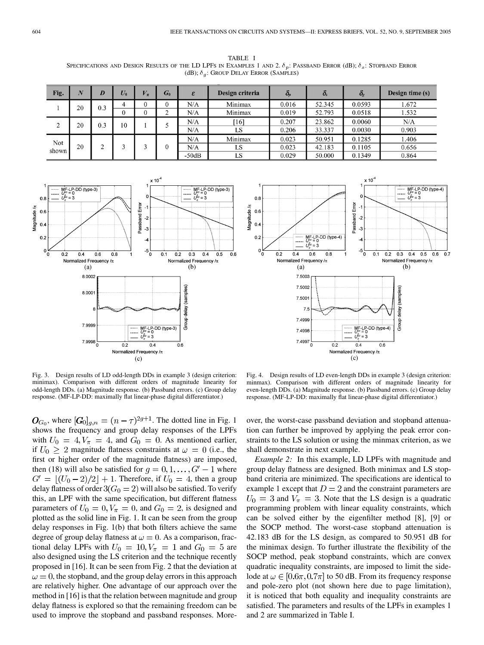TABLE I SPECIFICATIONS AND DESIGN RESULTS OF THE LD LPFS IN EXAMPLES 1 AND 2.  $\delta_p$ : PASSBAND ERROR (dB);  $\delta_s$ : STOPBAND ERROR (dB);  $\delta_q$ : GROUP DELAY ERROR (SAMPLES)

| Fig.         | $\overline{N}$ | D   | $U_0$ | $V_\pi$ | G <sub>0</sub> | $\boldsymbol{\varepsilon}$ | Design criteria | $\bm{o}_p$ | $\boldsymbol{o}_s$ | $\bm{o}_{g}$ | Design time (s) |
|--------------|----------------|-----|-------|---------|----------------|----------------------------|-----------------|------------|--------------------|--------------|-----------------|
|              | 20             | 0.3 |       |         |                | N/A                        | Minimax         | 0.016      | 52.345             | 0.0593       | 1.672           |
|              |                |     |       |         | ⌒              | N/A                        | Minimax         | 0.019      | 52.793             | 0.0518       | 1.532           |
| $\sim$       | 20             | 0.3 | 10    |         |                | N/A                        | 16              | 0.207      | 23.862             | 0.0060       | N/A             |
|              |                |     |       |         |                | N/A                        | LS              | 0.206      | 33.337             | 0.0030       | 0.903           |
| Not<br>shown | 20             |     |       |         |                | N/A                        | Minimax         | 0.023      | 50.951             | 0.1285       | .406            |
|              |                |     |       |         |                | N/A                        | LS              | 0.023      | 42.183             | 0.1105       | 0.656           |
|              |                |     |       |         |                | $-50dB$                    | LS              | 0.029      | 50.000             | 0.1349       | 0.864           |





Fig. 3. Design results of LD odd-length DDs in example 3 (design criterion: minimax). Comparison with different orders of magnitude linearity for odd-length DDs. (a) Magnitude response. (b) Passband errors. (c) Group delay response. (MF-LP-DD: maximally flat linear-phase digital differentiator.)

Fig. 4. Design results of LD even-length DDs in example 3 (design criterion: minmax). Comparison with different orders of magnitude linearity for even-length DDs. (a) Magnitude response. (b) Passband errors. (c) Group delay response. (MF-LP-DD: maximally flat linear-phase digital differentiator.)

 $O_{G_0}$ , where  $[G_0]_{g,n} = (n - \tau)^{2g+1}$ . The dotted line in Fig. 1 shows the frequency and group delay responses of the LPFs with  $U_0 = 4, V_\pi = 4$ , and  $G_0 = 0$ . As mentioned earlier, if  $U_0 \geq 2$  magnitude flatness constraints at  $\omega = 0$  (i.e., the first or higher order of the magnitude flatness) are imposed, then (18) will also be satisfied for  $g = 0, 1, \dots, G' - 1$  where  $G' = |(U_0 - 2)/2| + 1$ . Therefore, if  $U_0 = 4$ , then a group delay flatness of order  $3(G_0 = 2)$  will also be satisfied. To verify this, an LPF with the same specification, but different flatness parameters of  $U_0 = 0, V_\pi = 0$ , and  $G_0 = 2$ , is designed and plotted as the solid line in Fig. 1. It can be seen from the group delay responses in Fig. 1(b) that both filters achieve the same degree of group delay flatness at  $\omega = 0$ . As a comparison, fractional delay LPFs with  $U_0 = 10, V_\pi = 1$  and  $G_0 = 5$  are also designed using the LS criterion and the technique recently proposed in [[16\]](#page-4-0). It can be seen from Fig. 2 that the deviation at  $\omega = 0$ , the stopband, and the group delay errors in this approach are relatively higher. One advantage of our approach over the method in [\[16](#page-4-0)] is that the relation between magnitude and group delay flatness is explored so that the remaining freedom can be used to improve the stopband and passband responses. More-

over, the worst-case passband deviation and stopband attenuation can further be improved by applying the peak error constraints to the LS solution or using the minmax criterion, as we shall demonstrate in next example.

*Example 2:* In this example, LD LPFs with magnitude and group delay flatness are designed. Both minimax and LS stopband criteria are minimized. The specifications are identical to example 1 except that  $D = 2$  and the constraint parameters are  $U_0 = 3$  and  $V_\pi = 3$ . Note that the LS design is a quadratic programming problem with linear equality constraints, which can be solved either by the eigenfilter method [\[8](#page-4-0)], [[9\]](#page-4-0) or the SOCP method. The worst-case stopband attenuation is 42.183 dB for the LS design, as compared to 50.951 dB for the minimax design. To further illustrate the flexibility of the SOCP method, peak stopband constraints, which are convex quadratic inequality constraints, are imposed to limit the sidelode at  $\omega \in [0.6\pi, 0.7\pi]$  to 50 dB. From its frequency response and pole-zero plot (not shown here due to page limitation), it is noticed that both equality and inequality constraints are satisfied. The parameters and results of the LPFs in examples 1 and 2 are summarized in Table I.